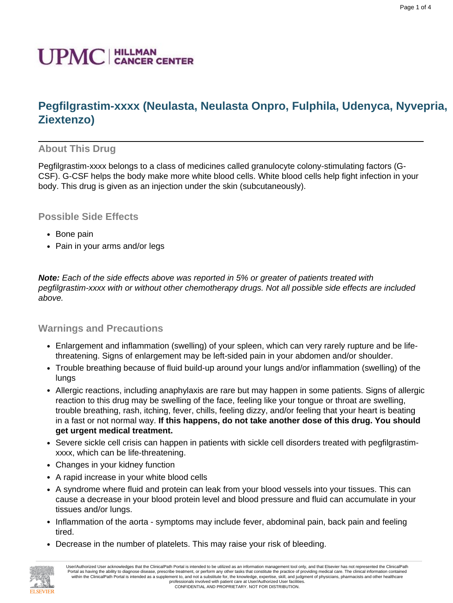# **Pegfilgrastim-xxxx (Neulasta, Neulasta Onpro, Fulphila, Udenyca, Nyvepria, Ziextenzo)**

## **About This Drug**

Pegfilgrastim-xxxx belongs to a class of medicines called granulocyte colony-stimulating factors (G-CSF). G-CSF helps the body make more white blood cells. White blood cells help fight infection in your body. This drug is given as an injection under the skin (subcutaneously).

## **Possible Side Effects**

- Bone pain
- Pain in your arms and/or legs

**Note:** Each of the side effects above was reported in 5% or greater of patients treated with pegfilgrastim-xxxx with or without other chemotherapy drugs. Not all possible side effects are included above.

### **Warnings and Precautions**

- Enlargement and inflammation (swelling) of your spleen, which can very rarely rupture and be lifethreatening. Signs of enlargement may be left-sided pain in your abdomen and/or shoulder.
- Trouble breathing because of fluid build-up around your lungs and/or inflammation (swelling) of the lungs
- Allergic reactions, including anaphylaxis are rare but may happen in some patients. Signs of allergic reaction to this drug may be swelling of the face, feeling like your tongue or throat are swelling, trouble breathing, rash, itching, fever, chills, feeling dizzy, and/or feeling that your heart is beating in a fast or not normal way. **If this happens, do not take another dose of this drug. You should get urgent medical treatment.**
- Severe sickle cell crisis can happen in patients with sickle cell disorders treated with pegfilgrastimxxxx, which can be life-threatening.
- Changes in your kidney function
- A rapid increase in your white blood cells
- A syndrome where fluid and protein can leak from your blood vessels into your tissues. This can cause a decrease in your blood protein level and blood pressure and fluid can accumulate in your tissues and/or lungs.
- Inflammation of the aorta symptoms may include fever, abdominal pain, back pain and feeling tired.
- Decrease in the number of platelets. This may raise your risk of bleeding.

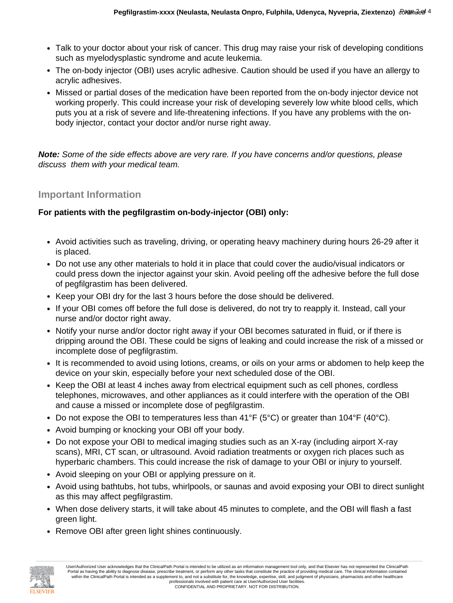- Talk to your doctor about your risk of cancer. This drug may raise your risk of developing conditions such as myelodysplastic syndrome and acute leukemia.
- The on-body injector (OBI) uses acrylic adhesive. Caution should be used if you have an allergy to acrylic adhesives.
- Missed or partial doses of the medication have been reported from the on-body injector device not working properly. This could increase your risk of developing severely low white blood cells, which puts you at a risk of severe and life-threatening infections. If you have any problems with the onbody injector, contact your doctor and/or nurse right away.

**Note:** Some of the side effects above are very rare. If you have concerns and/or questions, please discuss them with your medical team.

### **Important Information**

#### **For patients with the pegfilgrastim on-body-injector (OBI) only:**

- Avoid activities such as traveling, driving, or operating heavy machinery during hours 26-29 after it is placed.
- Do not use any other materials to hold it in place that could cover the audio/visual indicators or could press down the injector against your skin. Avoid peeling off the adhesive before the full dose of pegfilgrastim has been delivered.
- Keep your OBI dry for the last 3 hours before the dose should be delivered.
- If your OBI comes off before the full dose is delivered, do not try to reapply it. Instead, call your nurse and/or doctor right away.
- Notify your nurse and/or doctor right away if your OBI becomes saturated in fluid, or if there is dripping around the OBI. These could be signs of leaking and could increase the risk of a missed or incomplete dose of pegfilgrastim.
- It is recommended to avoid using lotions, creams, or oils on your arms or abdomen to help keep the device on your skin, especially before your next scheduled dose of the OBI.
- Keep the OBI at least 4 inches away from electrical equipment such as cell phones, cordless telephones, microwaves, and other appliances as it could interfere with the operation of the OBI and cause a missed or incomplete dose of pegfilgrastim.
- Do not expose the OBI to temperatures less than  $41^{\circ}F$  (5°C) or greater than  $104^{\circ}F$  (40°C).
- Avoid bumping or knocking your OBI off your body.
- Do not expose your OBI to medical imaging studies such as an X-ray (including airport X-ray scans), MRI, CT scan, or ultrasound. Avoid radiation treatments or oxygen rich places such as hyperbaric chambers. This could increase the risk of damage to your OBI or injury to yourself.
- Avoid sleeping on your OBI or applying pressure on it.
- Avoid using bathtubs, hot tubs, whirlpools, or saunas and avoid exposing your OBI to direct sunlight as this may affect pegfilgrastim.
- When dose delivery starts, it will take about 45 minutes to complete, and the OBI will flash a fast green light.
- Remove OBI after green light shines continuously.

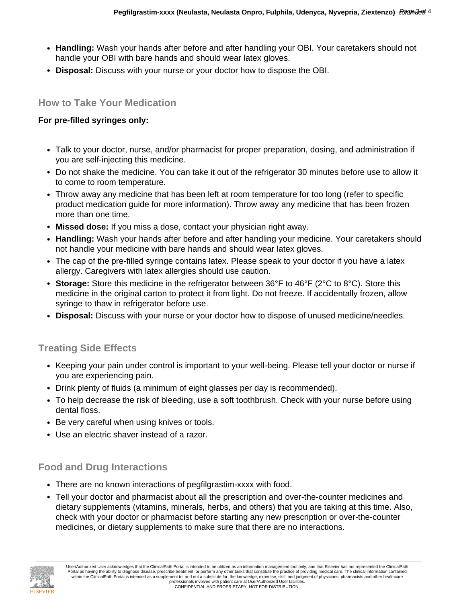- **Handling:** Wash your hands after before and after handling your OBI. Your caretakers should not handle your OBI with bare hands and should wear latex gloves.
- **Disposal:** Discuss with your nurse or your doctor how to dispose the OBI.

#### **How to Take Your Medication**

#### **For pre-filled syringes only:**

- Talk to your doctor, nurse, and/or pharmacist for proper preparation, dosing, and administration if you are self-injecting this medicine.
- Do not shake the medicine. You can take it out of the refrigerator 30 minutes before use to allow it to come to room temperature.
- Throw away any medicine that has been left at room temperature for too long (refer to specific product medication guide for more information). Throw away any medicine that has been frozen more than one time.
- **Missed dose:** If you miss a dose, contact your physician right away.
- **Handling:** Wash your hands after before and after handling your medicine. Your caretakers should not handle your medicine with bare hands and should wear latex gloves.
- The cap of the pre-filled syringe contains latex. Please speak to your doctor if you have a latex allergy. Caregivers with latex allergies should use caution.
- **Storage:** Store this medicine in the refrigerator between 36°F to 46°F (2°C to 8°C). Store this medicine in the original carton to protect it from light. Do not freeze. If accidentally frozen, allow syringe to thaw in refrigerator before use.
- **Disposal:** Discuss with your nurse or your doctor how to dispose of unused medicine/needles.

## **Treating Side Effects**

- Keeping your pain under control is important to your well-being. Please tell your doctor or nurse if you are experiencing pain.
- Drink plenty of fluids (a minimum of eight glasses per day is recommended).
- To help decrease the risk of bleeding, use a soft toothbrush. Check with your nurse before using dental floss.
- Be very careful when using knives or tools.
- Use an electric shaver instead of a razor.

## **Food and Drug Interactions**

- There are no known interactions of pegfilgrastim-xxxx with food.
- Tell your doctor and pharmacist about all the prescription and over-the-counter medicines and dietary supplements (vitamins, minerals, herbs, and others) that you are taking at this time. Also, check with your doctor or pharmacist before starting any new prescription or over-the-counter medicines, or dietary supplements to make sure that there are no interactions.



User/Authorized User acknowledges that the ClinicalPath Portal is intended to be utilized as an information management tool only, and that Elsevier has not represented the ClinicalPath Portal as having the ability to diagnose disease, prescribe treatment, or perform any other tasks that constitute the practice of providing medical care. The clinical information contained within the ClinicalPath Portal is intended as a supplement to, and not a substitute for, the knowledge, expertise, skill, and judgment of physicians, pharmacists and other healthcare professionals involved with patient care at User/Authorized User facilities. CONFIDENTIAL AND PROPRIETARY. NOT FOR DISTRIBUTION.